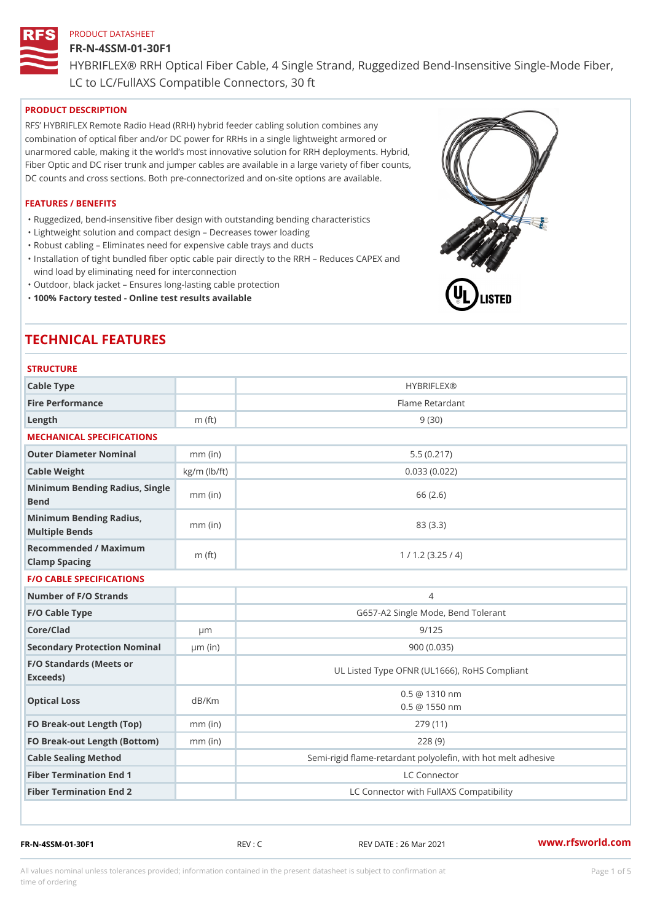#### FR-N-4SSM-01-30F1

HYBRIFLEX® RRH Optical Fiber Cable, 4 Single Strand, Ruggedized Be

LC to LC/FullAXS Compatible Connectors, 30 ft

#### PRODUCT DESCRIPTION

RFS HYBRIFLEX Remote Radio Head (RRH) hybrid feeder cabling solution combines any combination of optical fiber and/or DC power for RRHs in a single lightweight armored or unarmored cable, making it the world s most innovative solution for RRH deployments. Hybrid, Fiber Optic and DC riser trunk and jumper cables are available in a large variety of fiber counts, DC counts and cross sections. Both pre-connectorized and on-site options are available.

#### FEATURES / BENEFITS

"Ruggedized, bend-insensitive fiber design with outstanding bending characteristics

- "Lightweight solution and compact design Decreases tower loading
- "Robust cabling Eliminates need for expensive cable trays and ducts
- "Installation of tight bundled fiber optic cable pair directly to the RRH Aeduces CAPEX and wind load by eliminating need for interconnection
- "Outdoor, black jacket Ensures long-lasting cable protection
- "100% Factory tested Online test results available

# TECHNICAL FEATURES

# STRUCTURE.

| Cable Type                                        |                    | <b>HYBRIFLEX®</b>                                        |
|---------------------------------------------------|--------------------|----------------------------------------------------------|
| Fire Performance                                  |                    | Flame Retardant                                          |
| $L$ ength                                         | $m$ (ft)           | 9(30)                                                    |
| MECHANICAL SPECIFICATIONS                         |                    |                                                          |
| Outer Diameter Nominal                            | $mm$ (in)          | 5.5(0.217)                                               |
| Cable Weight                                      | $kg/m$ ( $lb/ft$ ) | 0.033(0.022)                                             |
| Minimum Bending Radius, Single<br>mm (in<br>Bend  |                    | 66 (2.6)                                                 |
| Minimum Bending Radius, mm (in)<br>Multiple Bends |                    | 83 (3.3)                                                 |
| Recommended / Maximum<br>Clamp Spacing            | m $(ft)$           | 1 / 1.2 (3.25 / 4)                                       |
| <b>F/O CABLE SPECIFICATIONS</b>                   |                    |                                                          |
| Number of F/O Strands                             |                    | $\overline{4}$                                           |
| F/O Cable Type                                    |                    | G657-A2 Single Mode, Bend Tolerant                       |
| Core/Clad                                         | $\mu$ m            | 9/125                                                    |
| Secondary Protection Nomumal(in)                  |                    | 900 (0.035)                                              |
| F/O Standards (Meets or<br>Exceeds)               |                    | UL Listed Type OFNR (UL1666), RoHS Compliant             |
| Optical Loss                                      | dB/Km              | $0.5 \ @ \ 1310 \ nm$<br>$0.5 \t@ 1550 nm$               |
| FO Break-out Length (Top)mm (in)                  |                    | 279 (11)                                                 |
| FO Break-out Length (Bottomm) (in)                |                    | 228(9)                                                   |
| Cable Sealing Method                              |                    | Semi-rigid flame-retardant polyolefin, with hot melt adl |
| Fiber Termination End                             |                    | LC Connector                                             |
| Fiber Termination End 2                           |                    | LC Connector with FullAXS Compatibility                  |

FR-N-4SSM-01-30F1 REV : C REV DATE : 26 Mar 2021 [www.](https://www.rfsworld.com)rfsworld.com

All values nominal unless tolerances provided; information contained in the present datasheet is subject to Pcapgeight Stid time of ordering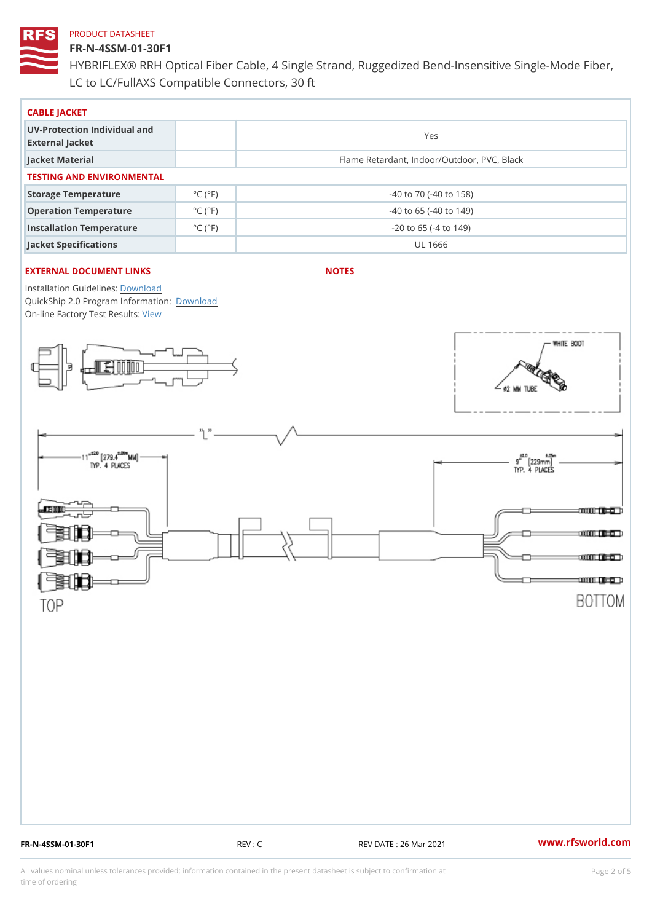# FR-N-4SSM-01-30F1

HYBRIFLEX® RRH Optical Fiber Cable, 4 Single Strand, Ruggedized Be LC to LC/FullAXS Compatible Connectors, 30 ft

| CABLE JACKET                                    |                             |                                             |
|-------------------------------------------------|-----------------------------|---------------------------------------------|
| UV-Protection Individual and<br>External Jacket |                             | Yes                                         |
| Jacket Material                                 |                             | Flame Retardant, Indoor/Outdoor, PVC, Black |
| TESTING AND ENVIRONMENTAL                       |                             |                                             |
| Storage Temperature                             | $^{\circ}$ C ( $^{\circ}$ F | $-40$ to $70$ ( $-40$ to $158$ )            |
| Operation Temperature                           | $^{\circ}$ C ( $^{\circ}$ F | $-40$ to 65 ( $-40$ to 149)                 |
| Installation Temperature                        | $^{\circ}$ C ( $^{\circ}$ F | $-20$ to 65 ( $-4$ to 149)                  |
| Jacket Specifications                           |                             | UL 1666                                     |

### EXTERNAL DOCUMENT LINKS

NOTES

Installation Guidelwinessad QuickShip 2.0 Program [Informa](http://www.rfsworld.com/images/hybriflex/quickship_program_2.pdf)tion: On-line Factory Te[s](https://www.rfsworld.com/pictures/userfiles/programs/AAST Latest Version.zip)teResults:

FR-N-4SSM-01-30F1 REV : C REV DATE : 26 Mar 2021 [www.](https://www.rfsworld.com)rfsworld.com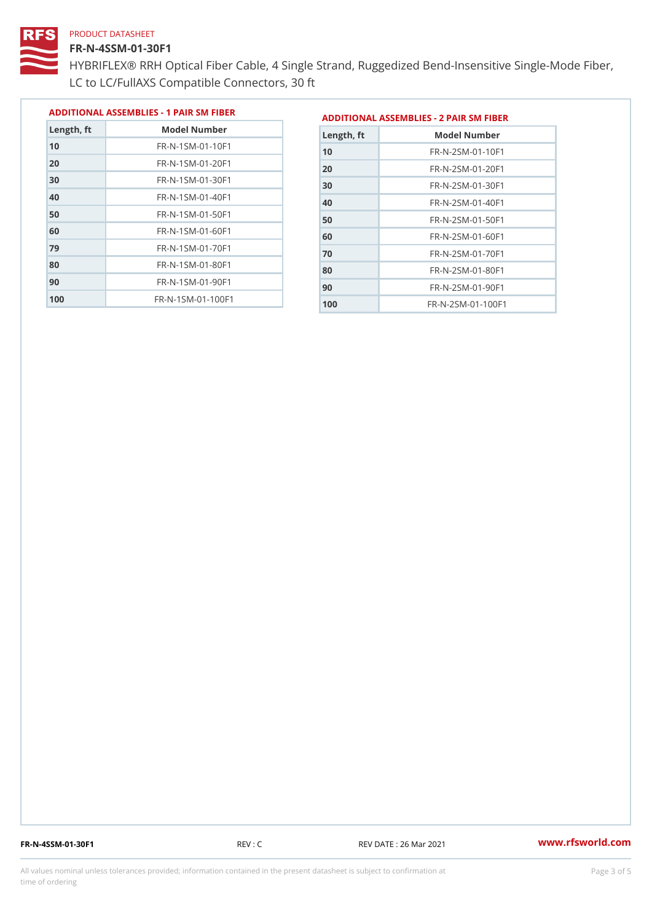#### FR-N-4SSM-01-30F1

 FR-N-1SM-01-70F1 FR-N-1SM-01-80F1 FR-N-1SM-01-90F1 FR-N-1SM-01-100F1

HYBRIFLEX® RRH Optical Fiber Cable, 4 Single Strand, Ruggedized Be LC to LC/FullAXS Compatible Connectors, 30 ft

> FR-N-2SM-01-70F1 FR-N-2SM-01-80F1 FR-N-2SM-01-90F1 FR-N-2SM-01-100F1

|               |                                |               | ADDITIONAL ASSEMBLIES - 1 PAIR SM FIBERDDITIONAL ASSEMBLIES - 2 PAIR SM FIBER |  |
|---------------|--------------------------------|---------------|-------------------------------------------------------------------------------|--|
| $L$ ength, ft | Model Number                   | $L$ ength, ft | Model Number                                                                  |  |
| 10            | $FR - N - 1$ S M - 01 - 10 F 1 | 10            | $FR - N - 2 SM - 01 - 10F1$                                                   |  |
| 20            | FR-N-1SM-01-20F1               | 20            | $FR - N - 2 SM - 01 - 20 F1$                                                  |  |
| 30            | $FR - N - 1$ S M - 01 - 30 F 1 | 30            | FR-N-2SM-01-30F1                                                              |  |
| 40            | $FR - N - 1 SM - 01 - 40 F1$   | 40            | $FR - N - 2 SM - 01 - 40 F1$                                                  |  |
| 50            | $FR - N - 1 SM - 01 - 50 F1$   | 50            | $FR - N - 2 SM - 01 - 50 F1$                                                  |  |
| 60            | $FR - N - 1$ S M - 01 - 60 F 1 | 60            | FR-N-2SM-01-60F1                                                              |  |
|               |                                |               |                                                                               |  |

FR-N-4SSM-01-30F1 REV : C REV DATE : 26 Mar 2021 [www.](https://www.rfsworld.com)rfsworld.com

All values nominal unless tolerances provided; information contained in the present datasheet is subject to Pcapgeling that i time of ordering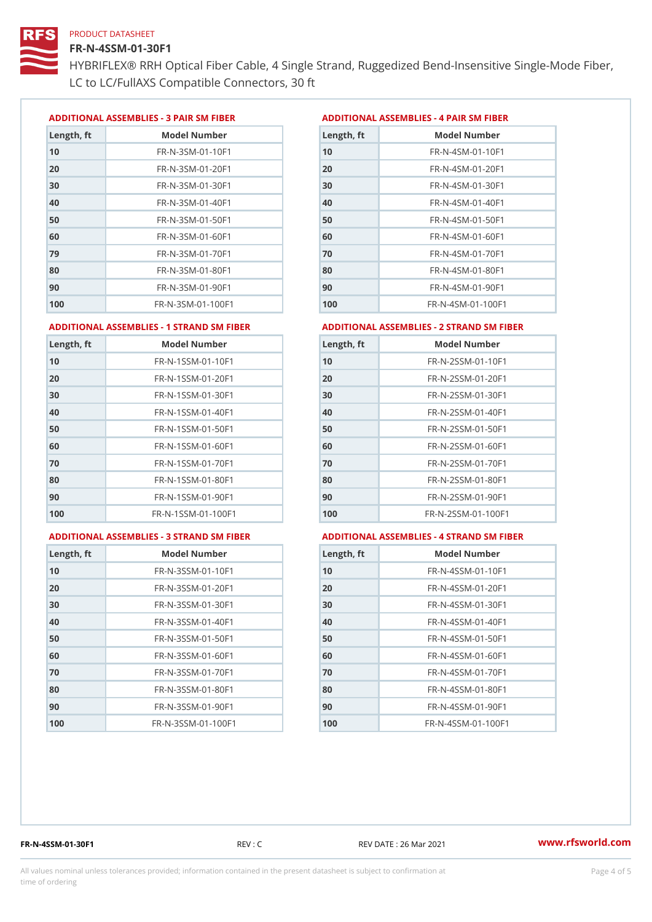#### FR-N-4SSM-01-30F1

HYBRIFLEX® RRH Optical Fiber Cable, 4 Single Strand, Ruggedized Be LC to LC/FullAXS Compatible Connectors, 30 ft

ADDITIONAL ASSEMBLIES - 3 PAIR SM FIBERED DITIONAL ASSEMBLIES - 4 PAIR SM FIBER

| Length, ft | Model Number                  |
|------------|-------------------------------|
| 10         | FR-N-3SM-01-10F1              |
| 20         | FR-N-3SM-01-20F1              |
| 30         | FR-N-3SM-01-30F1              |
| 40         | FR-N-3SM-01-40F1              |
| 50         | FR-N-3SM-01-50F1              |
| 60         | $FR - N - 3 S M - 01 - 60 F1$ |
| 79         | FR-N-3SM-01-70F1              |
| 80         | $FR - N - 3 S M - 01 - 80 F1$ |
| 90         | $FR - N - 3 S M - 01 - 90 F1$ |
| 100        | FR-N-3SM-01-100F1             |

| Length, ft | Model Number                   |
|------------|--------------------------------|
| 10         | FR-N-4SM-01-10F1               |
| 20         | $FR - N - 4 SM - 01 - 20 F1$   |
| 30         | $FR - N - 4 S M - 01 - 30 F1$  |
| 40         | $FR - N - 4 SM - 01 - 40 F1$   |
| 50         | FR-N-4SM-01-50F1               |
| 60         | $FR - N - 4 SM - 01 - 60 F1$   |
| 70         | FR-N-4SM-01-70F1               |
| 80         | $FR - N - 4 S M - 01 - 80 F1$  |
| 90         | FR-N-4SM-01-90F1               |
| 100        | $FR - N - 4 S M - 01 - 100 F1$ |

#### ADDITIONAL ASSEMBLIES - 1 STRAND SM FABSDRTIONAL ASSEMBLIES - 2 STRAND SM FIBER

| 10<br>FR-N-1SSM-01-10F1<br>10<br>20<br>20<br>$FR - N - 1$ S S M - 01 - 20 F 1<br>30<br>FR-N-1SSM-01-30F1<br>30<br>40<br>$FR - N - 1$ S S M - 01 - 40 F 1<br>40<br>50<br>50<br>FR-N-1SSM-01-50F1<br>60<br>$FR - N - 1$ S S M - 01 - 60 F 1<br>60<br>70<br>70<br>FR-N-1SSM-01-70F1<br>80<br>FR-N-1SSM-01-80F1<br>80<br>90<br>FR-N-1SSM-01-90F1<br>90<br>100<br>$FR - N - 1$ S S M - 01 - 100 F 1<br>100 | Length, ft | Model Number | Length, ft | Model Number                      |
|-------------------------------------------------------------------------------------------------------------------------------------------------------------------------------------------------------------------------------------------------------------------------------------------------------------------------------------------------------------------------------------------------------|------------|--------------|------------|-----------------------------------|
|                                                                                                                                                                                                                                                                                                                                                                                                       |            |              |            | FR-N-2SSM-01-10F1                 |
|                                                                                                                                                                                                                                                                                                                                                                                                       |            |              |            | FR-N-2SSM-01-20F1                 |
|                                                                                                                                                                                                                                                                                                                                                                                                       |            |              |            | FR-N-2SSM-01-30F1                 |
|                                                                                                                                                                                                                                                                                                                                                                                                       |            |              |            | FR-N-2SSM-01-40F1                 |
|                                                                                                                                                                                                                                                                                                                                                                                                       |            |              |            | FR-N-2SSM-01-50F1                 |
|                                                                                                                                                                                                                                                                                                                                                                                                       |            |              |            | $FR - N - 2$ S S M - 01 - 60 F 1  |
|                                                                                                                                                                                                                                                                                                                                                                                                       |            |              |            | $FR - N - 2$ S S M - 01 - 70 F 1  |
|                                                                                                                                                                                                                                                                                                                                                                                                       |            |              |            | FR-N-2SSM-01-80F1                 |
|                                                                                                                                                                                                                                                                                                                                                                                                       |            |              |            | FR-N-2SSM-01-90F1                 |
|                                                                                                                                                                                                                                                                                                                                                                                                       |            |              |            | $FR - N - 2$ S S M - 01 - 100 F 1 |

#### ADDITIONAL ASSEMBLIES - 3 STRAND SM

|  | 1 FABDRTIONAL ASSEMBLIE |  |
|--|-------------------------|--|
|  |                         |  |

|  | FAEDENTIONAL ASSEMBLIES - 4 STRAND SM FIBER |  |  |  |  |
|--|---------------------------------------------|--|--|--|--|
|--|---------------------------------------------|--|--|--|--|

| Length, ft | Model Number                    |
|------------|---------------------------------|
| 10         | FR-N-3SSM-01-10F1               |
| 20         | FR-N-3SSM-01-20F1               |
| 30         | FR-N-3SSM-01-30F1               |
| 40         | $FR - N - 3 S S M - 01 - 40 F1$ |
| 50         | $FR - N - 3 S S M - 01 - 50 F1$ |
| 60         | FR-N-3SSM-01-60F1               |
| 70         | FR-N-3SSM-01-70F1               |
| 80         | FR-N-3SSM-01-80F1               |
| 90         | FR-N-3SSM-01-90F1               |
| 100        | FR-N-3SSM-01-100F1              |

| Length, ft | Model Number                     |
|------------|----------------------------------|
| 10         | $FR - N - 4$ S S M - 01 - 10 F 1 |
| 20         | FR-N-4SSM-01-20F1                |
| 30         | $FR - N - 4$ S S M - 01 - 30 F 1 |
| 40         | $FR - N - 4$ S S M - 01 - 40 F 1 |
| 50         | $FR - N - 4$ S S M - 01 - 50 F 1 |
| 60         | FR-N-4SSM-01-60F1                |
| 70         | $FR - N - 4 S S M - 01 - 70 F1$  |
| 80         | FR-N-4SSM-01-80F1                |
| 90         | FR-N-4SSM-01-90F1                |
| 100        | FR-N-4SSM-01-100F1               |

FR-N-4SSM-01-30F1 REV : C REV DATE : 26 Mar 2021 [www.](https://www.rfsworld.com)rfsworld.com

All values nominal unless tolerances provided; information contained in the present datasheet is subject to Pcapgnéig4m ssti time of ordering